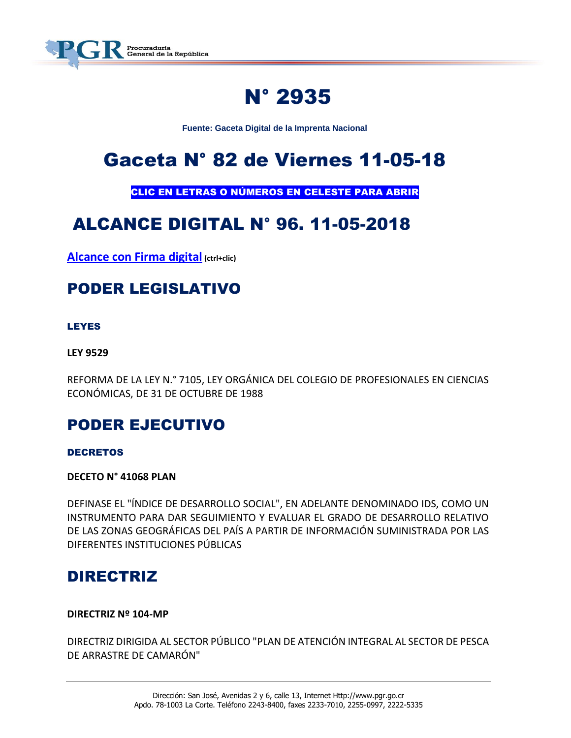

# N° 2935

**Fuente: Gaceta Digital de la Imprenta Nacional**

# Gaceta N° 82 de Viernes 11-05-18

CLIC EN LETRAS O NÚMEROS EN CELESTE PARA ABRIR

# ALCANCE DIGITAL N° 96. 11-05-2018

**[Alcance con Firma digital](https://www.imprentanacional.go.cr/pub/2018/05/11/ALCA96_11_05_2018.pdf) (ctrl+clic)**

### PODER LEGISLATIVO

#### LEYES

#### **LEY 9529**

REFORMA DE LA LEY N.° 7105, LEY ORGÁNICA DEL COLEGIO DE PROFESIONALES EN CIENCIAS ECONÓMICAS, DE 31 DE OCTUBRE DE 1988

### PODER EJECUTIVO

#### DECRETOS

**DECETO N° 41068 PLAN**

DEFINASE EL "ÍNDICE DE DESARROLLO SOCIAL", EN ADELANTE DENOMINADO IDS, COMO UN INSTRUMENTO PARA DAR SEGUIMIENTO Y EVALUAR EL GRADO DE DESARROLLO RELATIVO DE LAS ZONAS GEOGRÁFICAS DEL PAÍS A PARTIR DE INFORMACIÓN SUMINISTRADA POR LAS DIFERENTES INSTITUCIONES PÚBLICAS

### DIRECTRIZ

#### **DIRECTRIZ Nº 104-MP**

DIRECTRIZ DIRIGIDA AL SECTOR PÚBLICO "PLAN DE ATENCIÓN INTEGRAL AL SECTOR DE PESCA DE ARRASTRE DE CAMARÓN"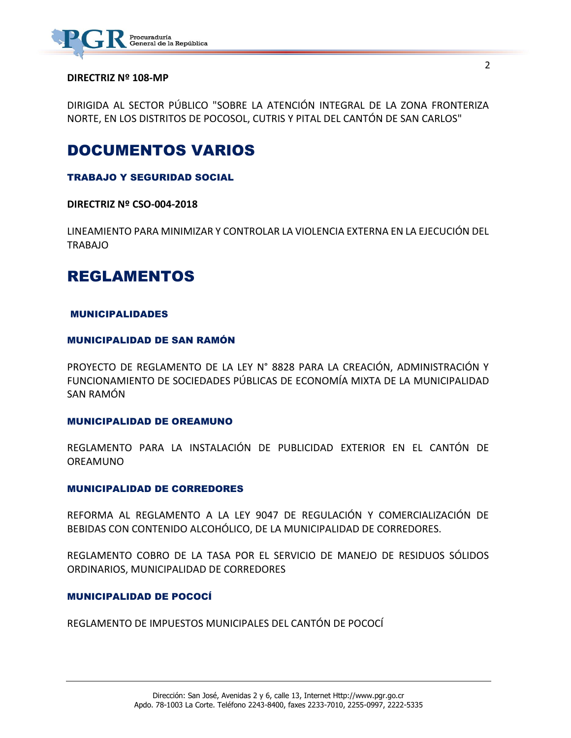

#### **DIRECTRIZ Nº 108-MP**

DIRIGIDA AL SECTOR PÚBLICO "SOBRE LA ATENCIÓN INTEGRAL DE LA ZONA FRONTERIZA NORTE, EN LOS DISTRITOS DE POCOSOL, CUTRIS Y PITAL DEL CANTÓN DE SAN CARLOS"

### DOCUMENTOS VARIOS

#### TRABAJO Y SEGURIDAD SOCIAL

**DIRECTRIZ Nº CSO-004-2018**

LINEAMIENTO PARA MINIMIZAR Y CONTROLAR LA VIOLENCIA EXTERNA EN LA EJECUCIÓN DEL TRABAJO

### REGLAMENTOS

#### MUNICIPALIDADES

#### MUNICIPALIDAD DE SAN RAMÓN

PROYECTO DE REGLAMENTO DE LA LEY N° 8828 PARA LA CREACIÓN, ADMINISTRACIÓN Y FUNCIONAMIENTO DE SOCIEDADES PÚBLICAS DE ECONOMÍA MIXTA DE LA MUNICIPALIDAD SAN RAMÓN

#### MUNICIPALIDAD DE OREAMUNO

REGLAMENTO PARA LA INSTALACIÓN DE PUBLICIDAD EXTERIOR EN EL CANTÓN DE OREAMUNO

#### MUNICIPALIDAD DE CORREDORES

REFORMA AL REGLAMENTO A LA LEY 9047 DE REGULACIÓN Y COMERCIALIZACIÓN DE BEBIDAS CON CONTENIDO ALCOHÓLICO, DE LA MUNICIPALIDAD DE CORREDORES.

REGLAMENTO COBRO DE LA TASA POR EL SERVICIO DE MANEJO DE RESIDUOS SÓLIDOS ORDINARIOS, MUNICIPALIDAD DE CORREDORES

#### MUNICIPALIDAD DE POCOCÍ

REGLAMENTO DE IMPUESTOS MUNICIPALES DEL CANTÓN DE POCOCÍ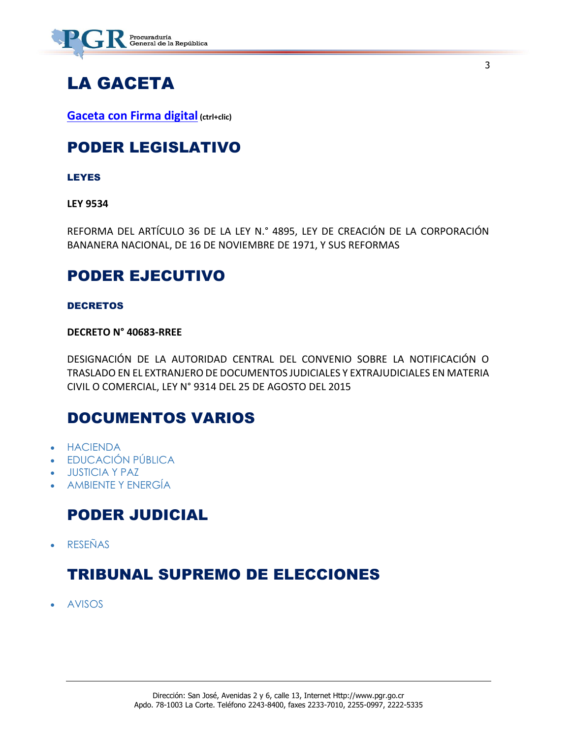

## LA GACETA

**[Gaceta con Firma digital](https://www.imprentanacional.go.cr/pub/2018/05/11/COMP_11_05_2018.pdf) (ctrl+clic)**

### PODER LEGISLATIVO

LEYES

**LEY 9534**

REFORMA DEL ARTÍCULO 36 DE LA LEY N.° 4895, LEY DE CREACIÓN DE LA CORPORACIÓN BANANERA NACIONAL, DE 16 DE NOVIEMBRE DE 1971, Y SUS REFORMAS

3

### PODER EJECUTIVO

#### DECRETOS

#### **DECRETO N° 40683-RREE**

DESIGNACIÓN DE LA AUTORIDAD CENTRAL DEL CONVENIO SOBRE LA NOTIFICACIÓN O TRASLADO EN EL EXTRANJERO DE DOCUMENTOS JUDICIALES Y EXTRAJUDICIALES EN MATERIA CIVIL O COMERCIAL, LEY N° 9314 DEL 25 DE AGOSTO DEL 2015

### DOCUMENTOS VARIOS

- [HACIENDA](https://www.imprentanacional.go.cr/gaceta/#hacienda)
- [EDUCACIÓN](https://www.imprentanacional.go.cr/gaceta/#educacin-pblica) PÚBLICA
- [JUSTICIA Y PAZ](https://www.imprentanacional.go.cr/gaceta/#justicia-y-paz)
- [AMBIENTE Y ENERGÍA](https://www.imprentanacional.go.cr/gaceta/#ambiente-y-energa)

### PODER JUDICIAL

[RESEÑAS](https://www.imprentanacional.go.cr/gaceta/#reseas)

### TRIBUNAL SUPREMO DE ELECCIONES

[AVISOS](https://www.imprentanacional.go.cr/gaceta/#avisos)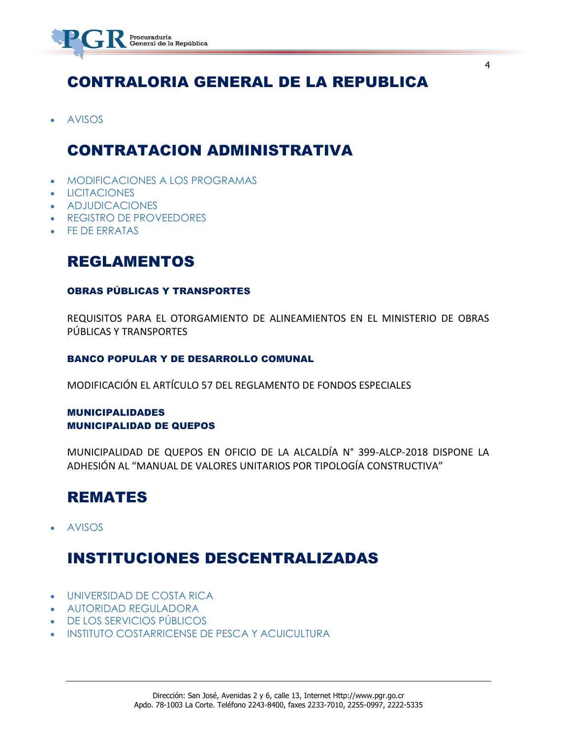

### CONTRALORIA GENERAL DE LA REPUBLICA

[AVISOS](https://www.imprentanacional.go.cr/gaceta/#avisos)

### CONTRATACION ADMINISTRATIVA

- [MODIFICACIONES A LOS PROGRAMAS](https://www.imprentanacional.go.cr/gaceta/#modificaciones-a-los-programas)
- **[LICITACIONES](https://www.imprentanacional.go.cr/gaceta/#licitaciones)**
- [ADJUDICACIONES](https://www.imprentanacional.go.cr/gaceta/#adjudicaciones)
- [REGISTRO DE PROVEEDORES](https://www.imprentanacional.go.cr/gaceta/#registro-de-proveedores)
- [FE DE ERRATAS](https://www.imprentanacional.go.cr/gaceta/#fe-de-erratas)

### REGLAMENTOS

#### OBRAS PÚBLICAS Y TRANSPORTES

REQUISITOS PARA EL OTORGAMIENTO DE ALINEAMIENTOS EN EL MINISTERIO DE OBRAS PÚBLICAS Y TRANSPORTES

#### BANCO POPULAR Y DE DESARROLLO COMUNAL

MODIFICACIÓN EL ARTÍCULO 57 DEL REGLAMENTO DE FONDOS ESPECIALES

#### MUNICIPALIDADES MUNICIPALIDAD DE QUEPOS

MUNICIPALIDAD DE QUEPOS EN OFICIO DE LA ALCALDÍA N° 399-ALCP-2018 DISPONE LA ADHESIÓN AL "MANUAL DE VALORES UNITARIOS POR TIPOLOGÍA CONSTRUCTIVA"

### REMATES

[AVISOS](https://www.imprentanacional.go.cr/gaceta/#avisos)

### INSTITUCIONES DESCENTRALIZADAS

- [UNIVERSIDAD DE COSTA RICA](https://www.imprentanacional.go.cr/gaceta/#universidad-de-costa-rica)
- [AUTORIDAD REGULADORA](https://www.imprentanacional.go.cr/gaceta/#autoridad-reguladora)
- [DE LOS SERVICIOS PÚBLICOS](https://www.imprentanacional.go.cr/gaceta/#de-los-servicios-pblicos)
- [INSTITUTO COSTARRICENSE DE PESCA](https://www.imprentanacional.go.cr/gaceta/#instituto-costarricense-de-pesca) [Y ACUICULTURA](https://www.imprentanacional.go.cr/gaceta/#yacuicultura)

4